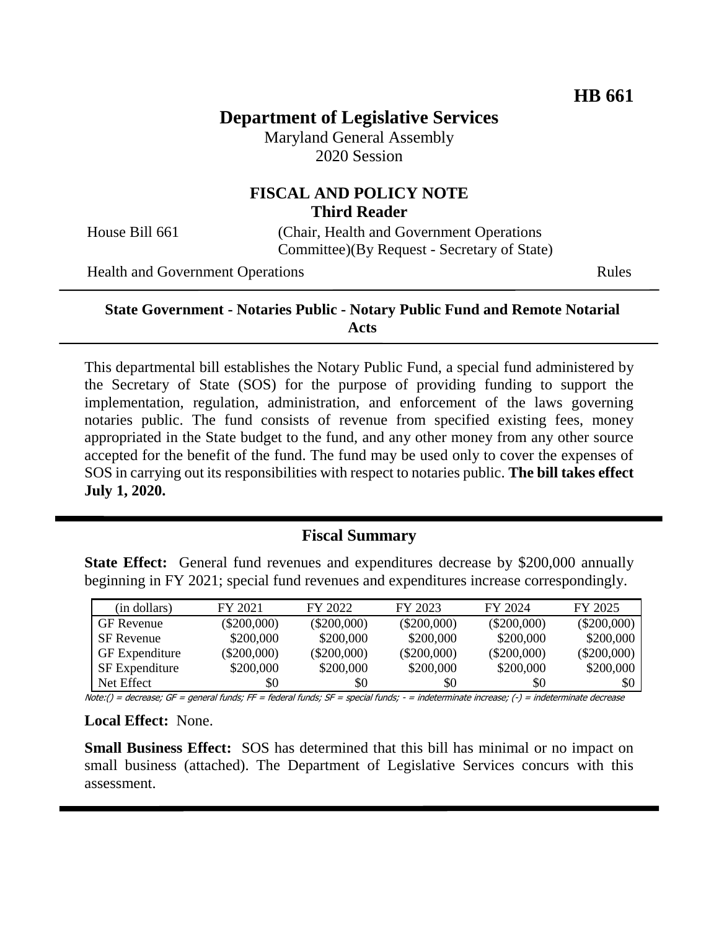# **Department of Legislative Services**

Maryland General Assembly 2020 Session

## **FISCAL AND POLICY NOTE Third Reader**

House Bill 661 (Chair, Health and Government Operations Committee)(By Request - Secretary of State)

Health and Government Operations Rules

#### **State Government - Notaries Public - Notary Public Fund and Remote Notarial Acts**

This departmental bill establishes the Notary Public Fund, a special fund administered by the Secretary of State (SOS) for the purpose of providing funding to support the implementation, regulation, administration, and enforcement of the laws governing notaries public. The fund consists of revenue from specified existing fees, money appropriated in the State budget to the fund, and any other money from any other source accepted for the benefit of the fund. The fund may be used only to cover the expenses of SOS in carrying out its responsibilities with respect to notaries public. **The bill takes effect July 1, 2020.** 

### **Fiscal Summary**

**State Effect:** General fund revenues and expenditures decrease by \$200,000 annually beginning in FY 2021; special fund revenues and expenditures increase correspondingly.

| (in dollars)          | FY 2021       | FY 2022       | FY 2023       | FY 2024       | FY 2025       |
|-----------------------|---------------|---------------|---------------|---------------|---------------|
| <b>GF</b> Revenue     | $(\$200,000)$ | $(\$200,000)$ | $(\$200,000)$ | $(\$200,000)$ | $(\$200,000)$ |
| <b>SF</b> Revenue     | \$200,000     | \$200,000     | \$200,000     | \$200,000     | \$200,000     |
| <b>GF</b> Expenditure | $(\$200,000)$ | $(\$200,000)$ | $(\$200,000)$ | $(\$200,000)$ | $(\$200,000)$ |
| <b>SF</b> Expenditure | \$200,000     | \$200,000     | \$200,000     | \$200,000     | \$200,000     |
| Net Effect            | \$0           | \$0           | \$0           | \$0           | \$0           |

Note:() = decrease; GF = general funds; FF = federal funds; SF = special funds; - = indeterminate increase; (-) = indeterminate decrease

**Local Effect:** None.

**Small Business Effect:** SOS has determined that this bill has minimal or no impact on small business (attached). The Department of Legislative Services concurs with this assessment.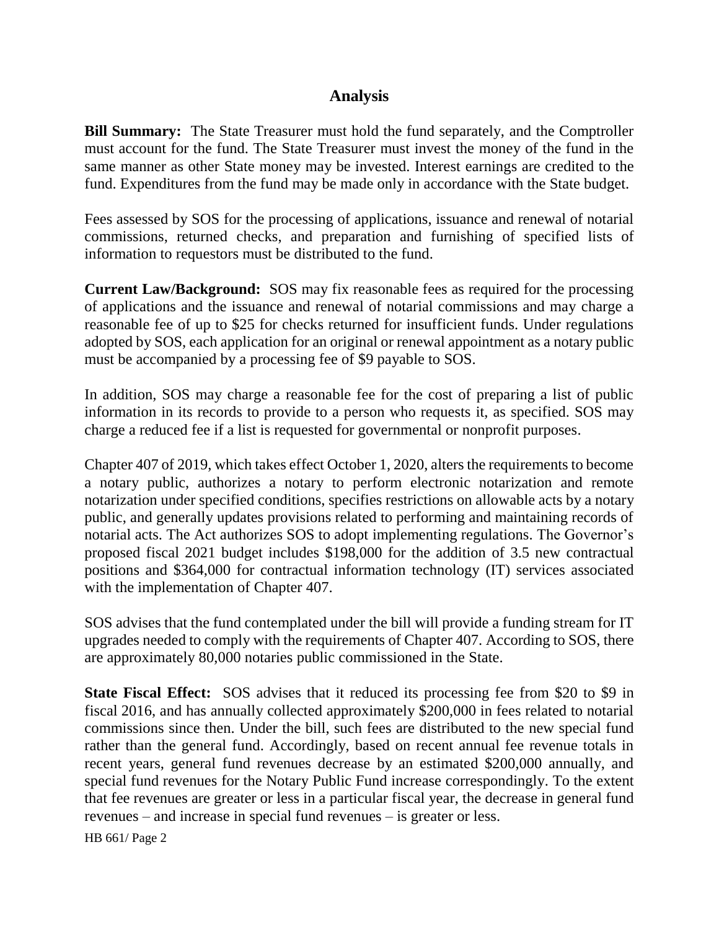## **Analysis**

**Bill Summary:** The State Treasurer must hold the fund separately, and the Comptroller must account for the fund. The State Treasurer must invest the money of the fund in the same manner as other State money may be invested. Interest earnings are credited to the fund. Expenditures from the fund may be made only in accordance with the State budget.

Fees assessed by SOS for the processing of applications, issuance and renewal of notarial commissions, returned checks, and preparation and furnishing of specified lists of information to requestors must be distributed to the fund.

**Current Law/Background:** SOS may fix reasonable fees as required for the processing of applications and the issuance and renewal of notarial commissions and may charge a reasonable fee of up to \$25 for checks returned for insufficient funds. Under regulations adopted by SOS, each application for an original or renewal appointment as a notary public must be accompanied by a processing fee of \$9 payable to SOS.

In addition, SOS may charge a reasonable fee for the cost of preparing a list of public information in its records to provide to a person who requests it, as specified. SOS may charge a reduced fee if a list is requested for governmental or nonprofit purposes.

Chapter 407 of 2019, which takes effect October 1, 2020, alters the requirements to become a notary public, authorizes a notary to perform electronic notarization and remote notarization under specified conditions, specifies restrictions on allowable acts by a notary public, and generally updates provisions related to performing and maintaining records of notarial acts. The Act authorizes SOS to adopt implementing regulations. The Governor's proposed fiscal 2021 budget includes \$198,000 for the addition of 3.5 new contractual positions and \$364,000 for contractual information technology (IT) services associated with the implementation of Chapter 407.

SOS advises that the fund contemplated under the bill will provide a funding stream for IT upgrades needed to comply with the requirements of Chapter 407. According to SOS, there are approximately 80,000 notaries public commissioned in the State.

**State Fiscal Effect:** SOS advises that it reduced its processing fee from \$20 to \$9 in fiscal 2016, and has annually collected approximately \$200,000 in fees related to notarial commissions since then. Under the bill, such fees are distributed to the new special fund rather than the general fund. Accordingly, based on recent annual fee revenue totals in recent years, general fund revenues decrease by an estimated \$200,000 annually, and special fund revenues for the Notary Public Fund increase correspondingly. To the extent that fee revenues are greater or less in a particular fiscal year, the decrease in general fund revenues – and increase in special fund revenues – is greater or less.

HB 661/ Page 2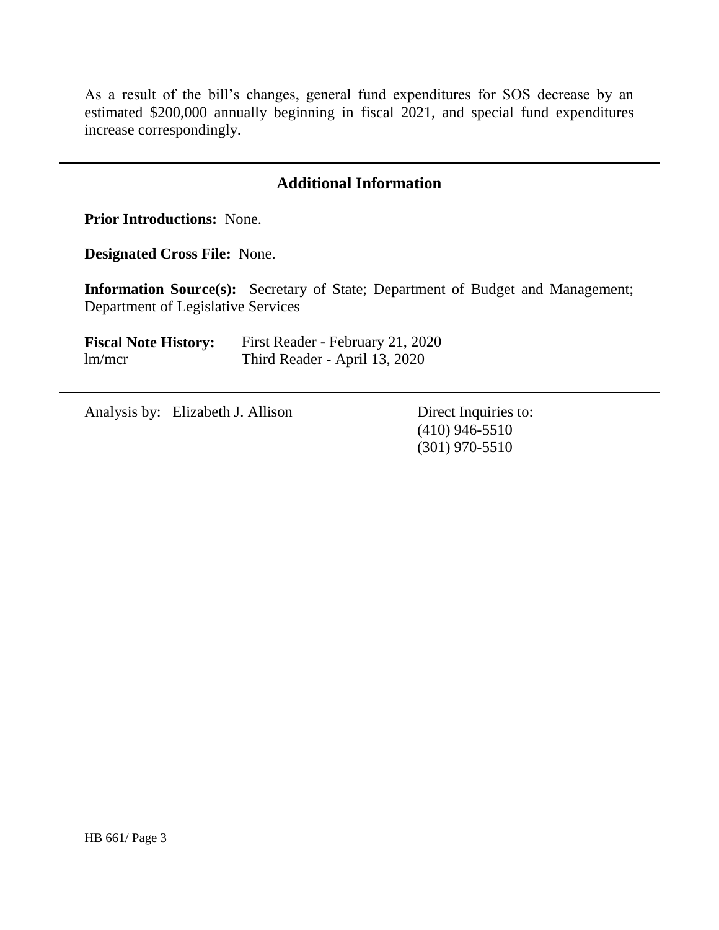As a result of the bill's changes, general fund expenditures for SOS decrease by an estimated \$200,000 annually beginning in fiscal 2021, and special fund expenditures increase correspondingly.

## **Additional Information**

**Prior Introductions:** None.

**Designated Cross File:** None.

**Information Source(s):** Secretary of State; Department of Budget and Management; Department of Legislative Services

**Fiscal Note History:** First Reader - February 21, 2020 lm/mcr Third Reader - April 13, 2020

Analysis by: Elizabeth J. Allison Direct Inquiries to:

(410) 946-5510 (301) 970-5510